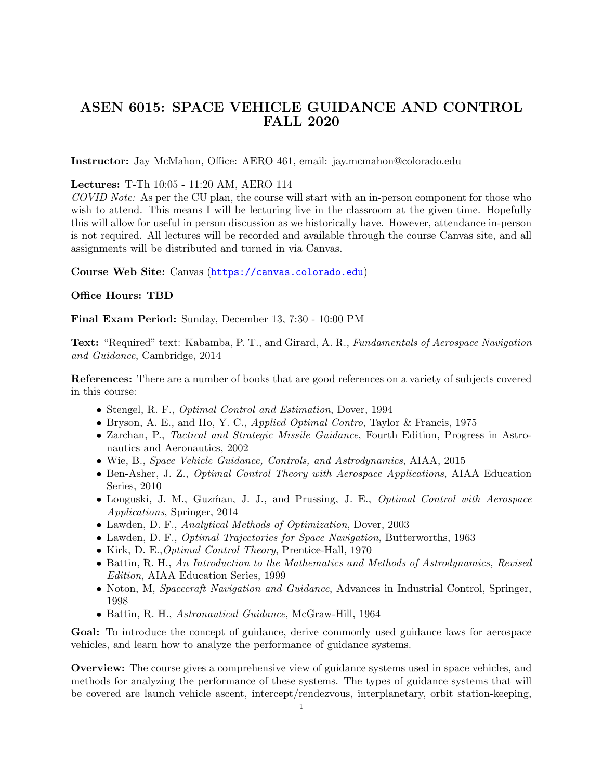# ASEN 6015: SPACE VEHICLE GUIDANCE AND CONTROL FALL 2020

Instructor: Jay McMahon, Office: AERO 461, email: jay.mcmahon@colorado.edu

#### Lectures: T-Th 10:05 - 11:20 AM, AERO 114

COVID Note: As per the CU plan, the course will start with an in-person component for those who wish to attend. This means I will be lecturing live in the classroom at the given time. Hopefully this will allow for useful in person discussion as we historically have. However, attendance in-person is not required. All lectures will be recorded and available through the course Canvas site, and all assignments will be distributed and turned in via Canvas.

Course Web Site: Canvas (<https://canvas.colorado.edu>)

#### Office Hours: TBD

Final Exam Period: Sunday, December 13, 7:30 - 10:00 PM

Text: "Required" text: Kabamba, P. T., and Girard, A. R., Fundamentals of Aerospace Navigation and Guidance, Cambridge, 2014

References: There are a number of books that are good references on a variety of subjects covered in this course:

- Stengel, R. F., *Optimal Control and Estimation*, Dover, 1994
- Bryson, A. E., and Ho, Y. C., Applied Optimal Contro, Taylor & Francis, 1975
- Zarchan, P., Tactical and Strategic Missile Guidance, Fourth Edition, Progress in Astronautics and Aeronautics, 2002
- Wie, B., Space Vehicle Guidance, Controls, and Astrodynamics, AIAA, 2015
- Ben-Asher, J. Z., *Optimal Control Theory with Aerospace Applications*, AIAA Education Series, 2010
- Longuski, J. M., Guzman, J. J., and Prussing, J. E., *Optimal Control with Aerospace* Applications, Springer, 2014
- Lawden, D. F., Analytical Methods of Optimization, Dover, 2003
- Lawden, D. F., *Optimal Trajectories for Space Navigation*, Butterworths, 1963
- Kirk, D. E.,Optimal Control Theory, Prentice-Hall, 1970
- Battin, R. H., An Introduction to the Mathematics and Methods of Astrodynamics, Revised Edition, AIAA Education Series, 1999
- Noton, M, Spacecraft Navigation and Guidance, Advances in Industrial Control, Springer, 1998
- Battin, R. H., Astronautical Guidance, McGraw-Hill, 1964

Goal: To introduce the concept of guidance, derive commonly used guidance laws for aerospace vehicles, and learn how to analyze the performance of guidance systems.

Overview: The course gives a comprehensive view of guidance systems used in space vehicles, and methods for analyzing the performance of these systems. The types of guidance systems that will be covered are launch vehicle ascent, intercept/rendezvous, interplanetary, orbit station-keeping,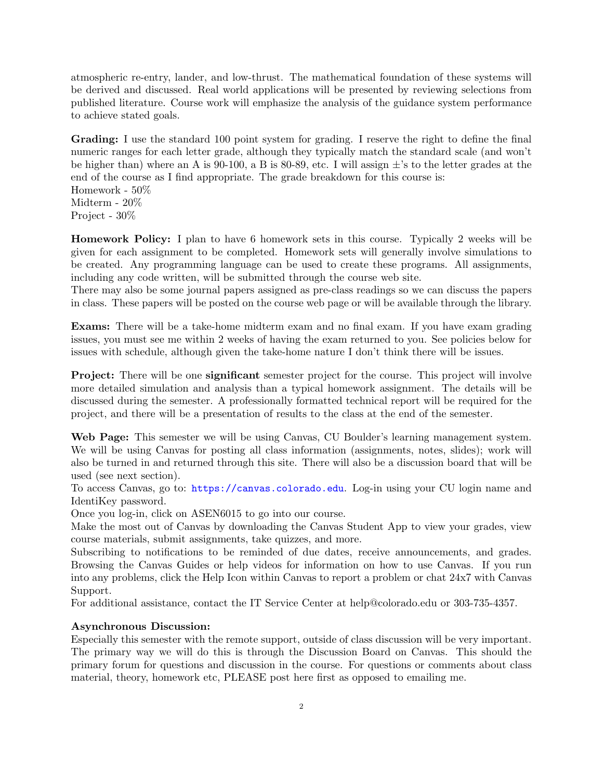atmospheric re-entry, lander, and low-thrust. The mathematical foundation of these systems will be derived and discussed. Real world applications will be presented by reviewing selections from published literature. Course work will emphasize the analysis of the guidance system performance to achieve stated goals.

Grading: I use the standard 100 point system for grading. I reserve the right to define the final numeric ranges for each letter grade, although they typically match the standard scale (and won't be higher than) where an A is 90-100, a B is 80-89, etc. I will assign  $\pm$ 's to the letter grades at the end of the course as I find appropriate. The grade breakdown for this course is: Homework - 50% Midterm - 20%

Project - 30%

Homework Policy: I plan to have 6 homework sets in this course. Typically 2 weeks will be given for each assignment to be completed. Homework sets will generally involve simulations to be created. Any programming language can be used to create these programs. All assignments, including any code written, will be submitted through the course web site.

There may also be some journal papers assigned as pre-class readings so we can discuss the papers in class. These papers will be posted on the course web page or will be available through the library.

Exams: There will be a take-home midterm exam and no final exam. If you have exam grading issues, you must see me within 2 weeks of having the exam returned to you. See policies below for issues with schedule, although given the take-home nature I don't think there will be issues.

**Project:** There will be one **significant** semester project for the course. This project will involve more detailed simulation and analysis than a typical homework assignment. The details will be discussed during the semester. A professionally formatted technical report will be required for the project, and there will be a presentation of results to the class at the end of the semester.

Web Page: This semester we will be using Canvas, CU Boulder's learning management system. We will be using Canvas for posting all class information (assignments, notes, slides); work will also be turned in and returned through this site. There will also be a discussion board that will be used (see next section).

To access Canvas, go to: <https://canvas.colorado.edu>. Log-in using your CU login name and IdentiKey password.

Once you log-in, click on ASEN6015 to go into our course.

Make the most out of Canvas by downloading the Canvas Student App to view your grades, view course materials, submit assignments, take quizzes, and more.

Subscribing to notifications to be reminded of due dates, receive announcements, and grades. Browsing the Canvas Guides or help videos for information on how to use Canvas. If you run into any problems, click the Help Icon within Canvas to report a problem or chat 24x7 with Canvas Support.

For additional assistance, contact the IT Service Center at help@colorado.edu or 303-735-4357.

#### Asynchronous Discussion:

Especially this semester with the remote support, outside of class discussion will be very important. The primary way we will do this is through the Discussion Board on Canvas. This should the primary forum for questions and discussion in the course. For questions or comments about class material, theory, homework etc, PLEASE post here first as opposed to emailing me.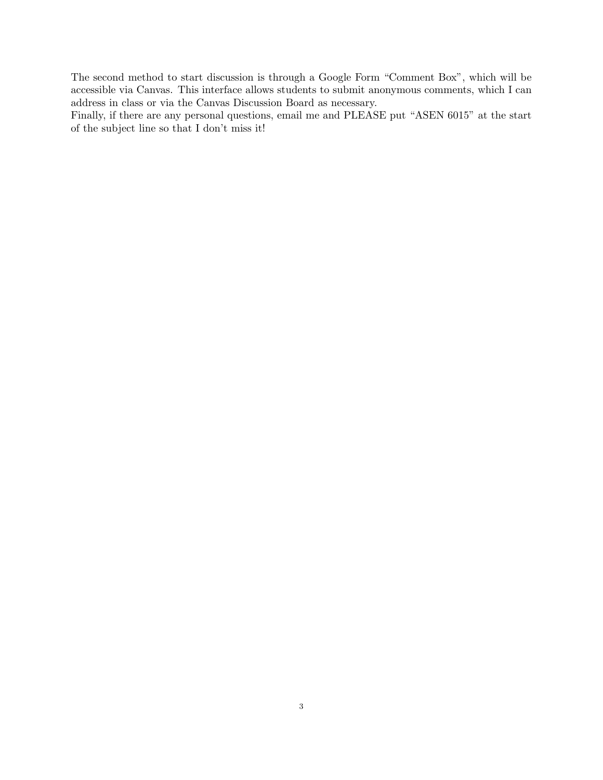The second method to start discussion is through a Google Form "Comment Box", which will be accessible via Canvas. This interface allows students to submit anonymous comments, which I can address in class or via the Canvas Discussion Board as necessary.

Finally, if there are any personal questions, email me and PLEASE put "ASEN 6015" at the start of the subject line so that I don't miss it!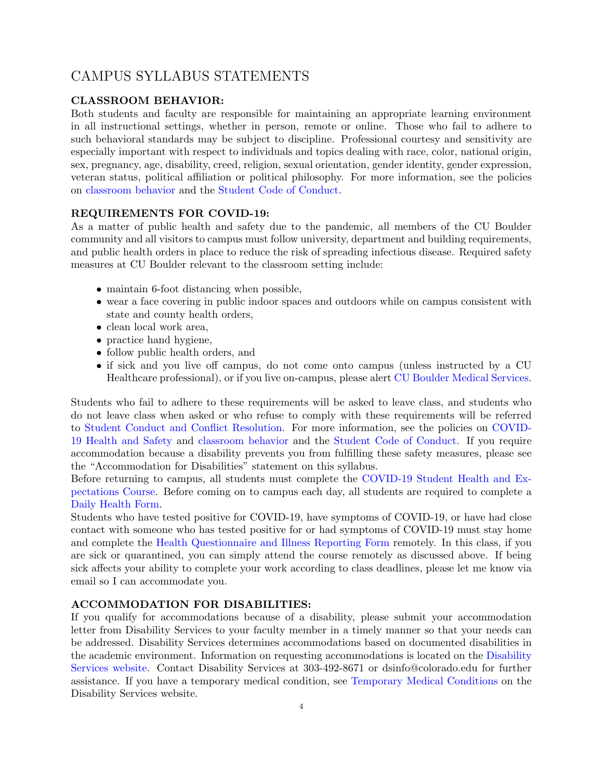# CAMPUS SYLLABUS STATEMENTS

### CLASSROOM BEHAVIOR:

Both students and faculty are responsible for maintaining an appropriate learning environment in all instructional settings, whether in person, remote or online. Those who fail to adhere to such behavioral standards may be subject to discipline. Professional courtesy and sensitivity are especially important with respect to individuals and topics dealing with race, color, national origin, sex, pregnancy, age, disability, creed, religion, sexual orientation, gender identity, gender expression, veteran status, political affiliation or political philosophy. For more information, see the policies on [classroom behavior](http://www.colorado.edu/policies/student-classroom-and-course-related-behavior) and the [Student Code of Conduct.](https://www.colorado.edu/sccr/sites/default/files/attached-files/2019-2020_student_code_of_conduct_0.pdf)

### REQUIREMENTS FOR COVID-19:

As a matter of public health and safety due to the pandemic, all members of the CU Boulder community and all visitors to campus must follow university, department and building requirements, and public health orders in place to reduce the risk of spreading infectious disease. Required safety measures at CU Boulder relevant to the classroom setting include:

- maintain 6-foot distancing when possible,
- wear a face covering in public indoor spaces and outdoors while on campus consistent with state and county health orders,
- clean local work area,
- practice hand hygiene,
- follow public health orders, and
- if sick and you live off campus, do not come onto campus (unless instructed by a CU Healthcare professional), or if you live on-campus, please alert [CU Boulder Medical Services.](https://www.colorado.edu/healthcenter/coronavirus-updates/symptoms-and-what-do-if-you-feel-sick)

Students who fail to adhere to these requirements will be asked to leave class, and students who do not leave class when asked or who refuse to comply with these requirements will be referred to [Student Conduct and Conflict Resolution.](https://www.colorado.edu/sccr/) For more information, see the policies on [COVID-](https://www.colorado.edu/policies/covid-19-health-and-safety-policy)[19 Health and Safety](https://www.colorado.edu/policies/covid-19-health-and-safety-policy) and [classroom behavior](http://www.colorado.edu/policies/student-classroom-and-course-related-behavior) and the [Student Code of Conduct.](http://www.colorado.edu/osccr/) If you require accommodation because a disability prevents you from fulfilling these safety measures, please see the "Accommodation for Disabilities" statement on this syllabus.

Before returning to campus, all students must complete the [COVID-19 Student Health and Ex](https://www.colorado.edu/protect-our-herd/how#anchor1)[pectations Course.](https://www.colorado.edu/protect-our-herd/how#anchor1) Before coming on to campus each day, all students are required to complete a [Daily Health Form.](https://www.colorado.edu/protect-our-herd/daily-health-form)

Students who have tested positive for COVID-19, have symptoms of COVID-19, or have had close contact with someone who has tested positive for or had symptoms of COVID-19 must stay home and complete the [Health Questionnaire and Illness Reporting Form](https://www.colorado.edu/protect-our-herd/daily-health-form) remotely. In this class, if you are sick or quarantined, you can simply attend the course remotely as discussed above. If being sick affects your ability to complete your work according to class deadlines, please let me know via email so I can accommodate you.

### ACCOMMODATION FOR DISABILITIES:

If you qualify for accommodations because of a disability, please submit your accommodation letter from Disability Services to your faculty member in a timely manner so that your needs can be addressed. Disability Services determines accommodations based on documented disabilities in the academic environment. Information on requesting accommodations is located on the [Disability](https://www.colorado.edu/disabilityservices/) [Services website.](https://www.colorado.edu/disabilityservices/) Contact Disability Services at 303-492-8671 or dsinfo@colorado.edu for further assistance. If you have a temporary medical condition, see [Temporary Medical Conditions](http://www.colorado.edu/disabilityservices/students/temporary-medical-conditions) on the Disability Services website.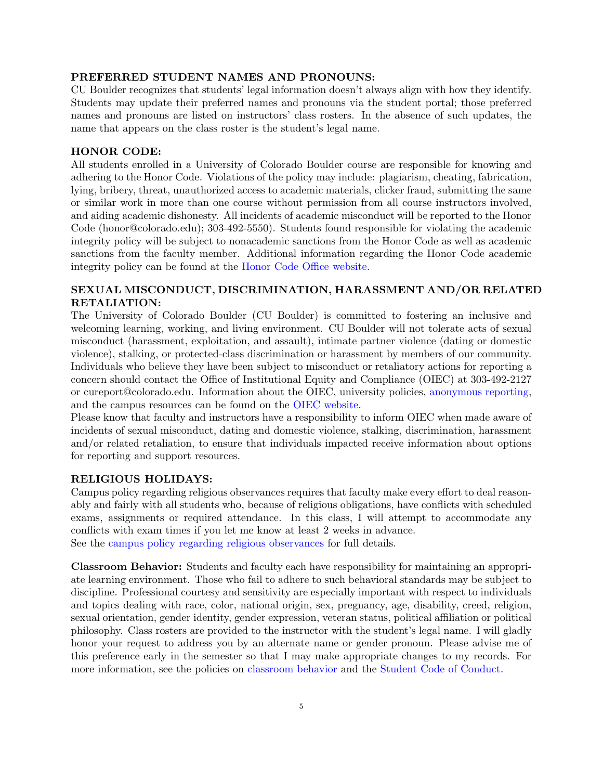#### PREFERRED STUDENT NAMES AND PRONOUNS:

CU Boulder recognizes that students' legal information doesn't always align with how they identify. Students may update their preferred names and pronouns via the student portal; those preferred names and pronouns are listed on instructors' class rosters. In the absence of such updates, the name that appears on the class roster is the student's legal name.

#### HONOR CODE:

All students enrolled in a University of Colorado Boulder course are responsible for knowing and adhering to the Honor Code. Violations of the policy may include: plagiarism, cheating, fabrication, lying, bribery, threat, unauthorized access to academic materials, clicker fraud, submitting the same or similar work in more than one course without permission from all course instructors involved, and aiding academic dishonesty. All incidents of academic misconduct will be reported to the Honor Code (honor@colorado.edu); 303-492-5550). Students found responsible for violating the academic integrity policy will be subject to nonacademic sanctions from the Honor Code as well as academic sanctions from the faculty member. Additional information regarding the Honor Code academic integrity policy can be found at the [Honor Code Office website.](https://www.colorado.edu/osccr/honor-code)

### SEXUAL MISCONDUCT, DISCRIMINATION, HARASSMENT AND/OR RELATED RETALIATION:

The University of Colorado Boulder (CU Boulder) is committed to fostering an inclusive and welcoming learning, working, and living environment. CU Boulder will not tolerate acts of sexual misconduct (harassment, exploitation, and assault), intimate partner violence (dating or domestic violence), stalking, or protected-class discrimination or harassment by members of our community. Individuals who believe they have been subject to misconduct or retaliatory actions for reporting a concern should contact the Office of Institutional Equity and Compliance (OIEC) at 303-492-2127 or cureport@colorado.edu. Information about the OIEC, university policies, [anonymous reporting,](https://cuboulder.qualtrics.com/jfe/form/SV_0PnqVK4kkIJIZnf) and the campus resources can be found on the [OIEC website.](http://www.colorado.edu/institutionalequity/)

Please know that faculty and instructors have a responsibility to inform OIEC when made aware of incidents of sexual misconduct, dating and domestic violence, stalking, discrimination, harassment and/or related retaliation, to ensure that individuals impacted receive information about options for reporting and support resources.

#### RELIGIOUS HOLIDAYS:

Campus policy regarding religious observances requires that faculty make every effort to deal reasonably and fairly with all students who, because of religious obligations, have conflicts with scheduled exams, assignments or required attendance. In this class, I will attempt to accommodate any conflicts with exam times if you let me know at least 2 weeks in advance. See the [campus policy regarding religious observances](http://www.colorado.edu/policies/observance-religious-holidays-and-absences-classes-andor-exams) for full details.

Classroom Behavior: Students and faculty each have responsibility for maintaining an appropriate learning environment. Those who fail to adhere to such behavioral standards may be subject to discipline. Professional courtesy and sensitivity are especially important with respect to individuals and topics dealing with race, color, national origin, sex, pregnancy, age, disability, creed, religion, sexual orientation, gender identity, gender expression, veteran status, political affiliation or political philosophy. Class rosters are provided to the instructor with the student's legal name. I will gladly honor your request to address you by an alternate name or gender pronoun. Please advise me of this preference early in the semester so that I may make appropriate changes to my records. For more information, see the policies on [classroom behavior](http://www.colorado.edu/policies/student-classroom-and-course-related-behavior) and the [Student Code of Conduct.](http://www.colorado.edu/osccr/)